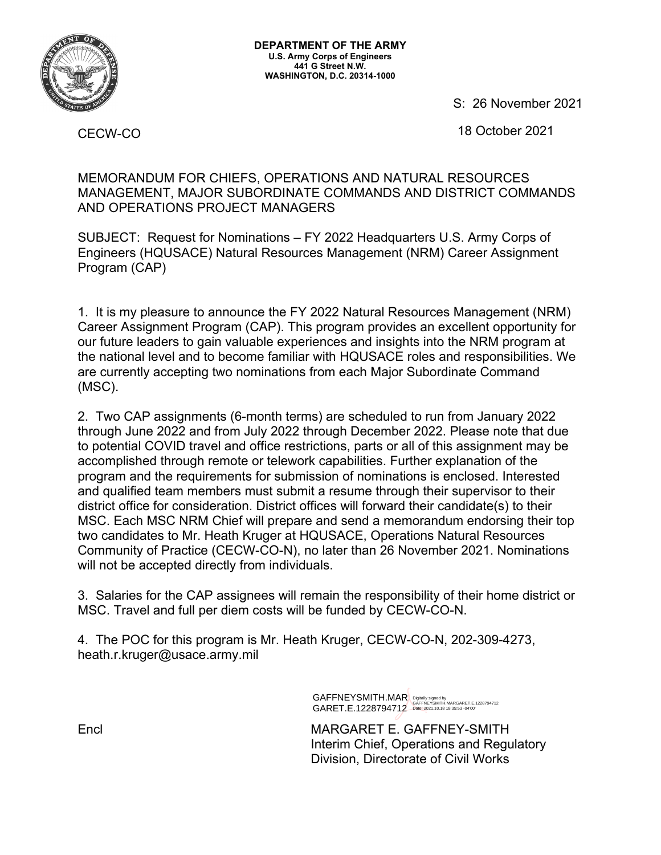

S: 26 November 2021

18 October 2021

CECW-CO

MEMORANDUM FOR CHIEFS, OPERATIONS AND NATURAL RESOURCES MANAGEMENT, MAJOR SUBORDINATE COMMANDS AND DISTRICT COMMANDS AND OPERATIONS PROJECT MANAGERS

SUBJECT: Request for Nominations – FY 2022 Headquarters U.S. Army Corps of Engineers (HQUSACE) Natural Resources Management (NRM) Career Assignment Program (CAP)

1. It is my pleasure to announce the FY 2022 Natural Resources Management (NRM) Career Assignment Program (CAP). This program provides an excellent opportunity for our future leaders to gain valuable experiences and insights into the NRM program at the national level and to become familiar with HQUSACE roles and responsibilities. We are currently accepting two nominations from each Major Subordinate Command (MSC).

2. Two CAP assignments (6-month terms) are scheduled to run from January 2022 through June 2022 and from July 2022 through December 2022. Please note that due to potential COVID travel and office restrictions, parts or all of this assignment may be accomplished through remote or telework capabilities. Further explanation of the program and the requirements for submission of nominations is enclosed. Interested and qualified team members must submit a resume through their supervisor to their district office for consideration. District offices will forward their candidate(s) to their MSC. Each MSC NRM Chief will prepare and send a memorandum endorsing their top two candidates to Mr. Heath Kruger at HQUSACE, Operations Natural Resources Community of Practice (CECW-CO-N), no later than 26 November 2021. Nominations will not be accepted directly from individuals.

3. Salaries for the CAP assignees will remain the responsibility of their home district or MSC. Travel and full per diem costs will be funded by CECW-CO-N.

4. The POC for this program is Mr. Heath Kruger, CECW-CO-N, 202-309-4273, heath.r.kruger@usace.army.mil

> GAFFNEYSMITH.MAR GAFFNEYSMITH.MAR Digitally signed by<br>GARET.E.1228794712—date:2021.10.18 18:35:53 -04'00'

Encl MARGARET E. GAFFNEY-SMITH Interim Chief, Operations and Regulatory Division, Directorate of Civil Works